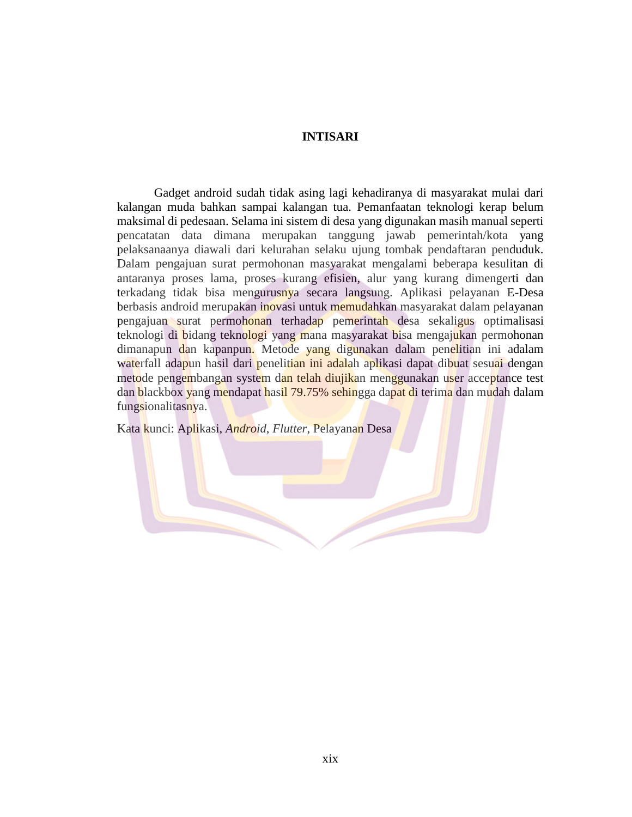## **INTISARI**

Gadget android sudah tidak asing lagi kehadiranya di masyarakat mulai dari kalangan muda bahkan sampai kalangan tua. Pemanfaatan teknologi kerap belum maksimal di pedesaan. Selama ini sistem di desa yang digunakan masih manual seperti pencatatan data dimana merupakan tanggung jawab pemerintah/kota yang pelaksanaanya diawali dari kelurahan selaku ujung tombak pendaftaran penduduk. Dalam pengajuan surat permohonan masyarakat mengalami beberapa kesulitan di antaranya proses lama, proses kurang efisien, alur yang kurang dimengerti dan terkadang tidak bisa mengurusnya secara langsung. Aplikasi pelayanan E-Desa berbasis android merupakan inovasi untuk memudahkan masyarakat dalam pelayanan pengajuan surat permohonan terhadap pemerintah desa sekaligus optimalisasi teknologi di bidang teknologi yang mana masyarakat bisa mengajukan permohonan dimanapun dan kapanpun. Metode yang digunakan dalam penelitian ini adalam waterfall adapun hasil dari penelitian ini adalah aplikasi dapat dibuat sesuai dengan metode pengembangan system dan telah diujikan menggunakan user acceptance test dan blackbox yang mendapat hasil 79.75% sehingga dapat di terima dan mudah dalam fungsionalitasnya.

Kata kunci: Aplikasi, *Android*, *Flutter*, Pelayanan Desa